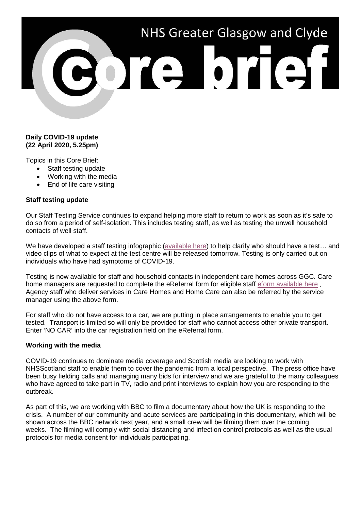# NHS Greater Glasgow and Clyde 3013101131

## **Daily COVID-19 update (22 April 2020, 5.25pm)**

Topics in this Core Brief:

- Staff testing update
- Working with the media
- End of life care visiting

## **Staff testing update**

Our Staff Testing Service continues to expand helping more staff to return to work as soon as it's safe to do so from a period of self-isolation. This includes testing staff, as well as testing the unwell household contacts of well staff.

We have developed a staff testing infographic [\(available here\)](https://www.nhsggc.org.uk/media/260074/200421-staff-testing-infographic.pdf) to help clarify who should have a test... and video clips of what to expect at the test centre will be released tomorrow. Testing is only carried out on individuals who have had symptoms of COVID-19.

Testing is now available for staff and household contacts in independent care homes across GGC. Care home managers are requested to complete the eReferral form for eligible staff [eform available here](https://forms.office.com/Pages/ResponsePage.aspx?id=veDvEDCgykuAnLXmdF5JmgW9YoY5w-BDlHK7ghonYUBUREhYMVBENDNBTzNYMU9GT0E4UkJDV0wySyQlQCN0PWcu) . Agency staff who deliver services in Care Homes and Home Care can also be referred by the service manager using the above form.

For staff who do not have access to a car, we are putting in place arrangements to enable you to get tested. Transport is limited so will only be provided for staff who cannot access other private transport. Enter 'NO CAR' into the car registration field on the eReferral form.

#### **Working with the media**

COVID-19 continues to dominate media coverage and Scottish media are looking to work with NHSScotland staff to enable them to cover the pandemic from a local perspective. The press office have been busy fielding calls and managing many bids for interview and we are grateful to the many colleagues who have agreed to take part in TV, radio and print interviews to explain how you are responding to the outbreak.

As part of this, we are working with BBC to film a documentary about how the UK is responding to the crisis. A number of our community and acute services are participating in this documentary, which will be shown across the BBC network next year, and a small crew will be filming them over the coming weeks. The filming will comply with social distancing and infection control protocols as well as the usual protocols for media consent for individuals participating.